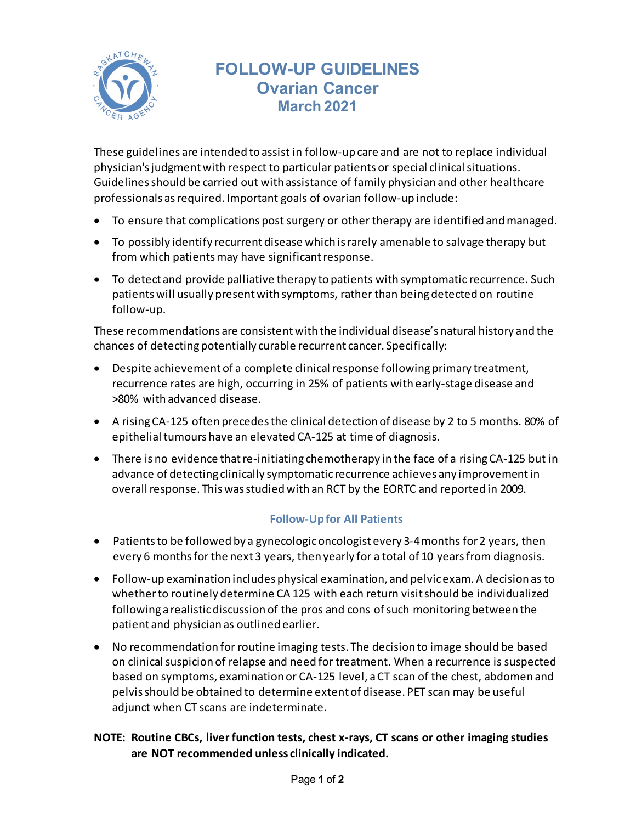

# **FOLLOW-UP GUIDELINES Ovarian Cancer March 2021**

These guidelines are intended to assist in follow-up care and are not to replace individual physician's judgment with respect to particular patients or special clinical situations. Guidelines should be carried out with assistance of family physician and other healthcare professionals as required. Important goals of ovarian follow-up include:

- To ensure that complications post surgery or other therapy are identified and managed.
- To possibly identify recurrent disease which is rarely amenable to salvage therapy but from which patients may have significant response.
- To detect and provide palliative therapy to patients with symptomatic recurrence. Such patients will usually present with symptoms, rather than being detected on routine follow-up.

These recommendations are consistent with the individual disease's natural history and the chances of detecting potentially curable recurrent cancer. Specifically:

- Despite achievementof a complete clinical response following primary treatment, recurrence rates are high, occurring in 25% of patients with early-stage disease and >80% with advanced disease.
- A rising CA-125 often precedesthe clinical detection of disease by 2 to 5 months. 80% of epithelial tumours have an elevated CA-125 at time of diagnosis.
- There is no evidence that re-initiating chemotherapy in the face of a rising CA-125 but in advance of detecting clinically symptomatic recurrence achieves any improvement in overall response. This was studied with an RCT by the EORTC and reported in 2009.

### **Follow-Up for All Patients**

- Patients to be followed by a gynecologic oncologist every 3-4 months for 2 years, then every 6 months for the next 3 years, then yearly for a total of 10 yearsfrom diagnosis.
- Follow-up examination includes physical examination, and pelvic exam. A decision as to whether to routinely determine CA 125 with each return visit should be individualized following a realistic discussion of the pros and cons of such monitoring between the patient and physician as outlined earlier.
- No recommendation for routine imaging tests. The decision to image should be based on clinical suspicion of relapse and need for treatment. When a recurrence is suspected based on symptoms, examination or CA-125 level, a CT scan of the chest, abdomen and pelvis should be obtained to determine extent of disease. PET scan may be useful adjunct when CT scans are indeterminate.

## **NOTE: Routine CBCs, liver function tests, chest x-rays, CT scans or other imaging studies are NOT recommended unless clinically indicated.**